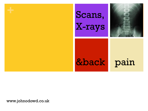

# **+** Scans, X-rays



## &back pain

www.johnodowd.co.uk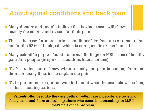#### **+** About spinal conditions and back pain

- **n** Many doctors and people believe that having a scan will show exactly the source and reason for their pain
- **n** This is the case for more serious conditions like fractures or tumours but not for the 93% of back pain which is non-specific or mechanical
- Many scientific papers found abnormal findings on MRI scans of healthy pain-free people (in spines, shoulders, knees, brains)
- $\blacksquare$  It's frustrating not to know where exactly the pain is coming from and there are many theories to explain the pain
- $\blacksquare$  It's important not to get too worried about what the scan shows as long as this is nothing serious

"Patients often feel like they are getting better care if people are ordering fancy tests, and there are some patients who come in demanding an M.R.I. that's part of the problem,"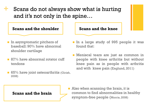**+** Scans do not always show what is hurting and it's not only in the spine…

#### **Scans and the shoulder Scans and the knee**

- **n** In asymptomatic pitchers of baseball: 90% have abnormal shoulder cartilage
- $\blacksquare$  87% have abnormal rotator cuff tendons
- $\blacksquare$  65% have joint osteoarthritis (Girish, 2008)



- In a large study of 995 people it was found that:
- **n** Meniscal tears are just as common in people with knee arthritis but without knee pain as in people with arthritis and with knee pain (Englund, 2011)

**Scans and the brain** 

 $\blacksquare$  Also when scanning the brain, it is common to find abnormalities in healthy symptom-free people (Morris, 2008)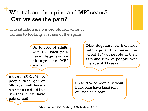## What about the spine and MRI scans? Can we see the pain?

The situation is no more clearer when it comes to looking at scans of the spine

> Up to 60% of adults with NO back pain have degenerative changes on MRI scans

Disc degeneration increases with age and is present in about 15% of people in their 20's and 87% of people over the age of 60 years

About 20-25% of people who get an MRI scan will have a herniated disc whether they have pain or not!

Up to 75% of people without back pain have facet joint effusion on a scan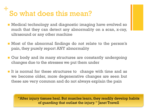## **+** So what does this mean?

- **n** Medical technology and diagnostic imaging have evolved so much that they can detect any abnormality on a scan, x-ray, ultrasound or any other machine
- **n** Most of the abnormal findings do not relate to the person's pain, they purely report ANY abnormality
- **n** Our body and its many structures are constantly undergoing changes due to the stresses we put them under
- If is normal for these structures to change with time and as we become older, more degenerative changes are seen but these are very common and do not always explain the pain

"After injury tissues heal. But muscles learn, they readily develop habits of guarding that outlast the injury. " Janet Travell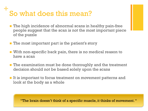## **+** So what does this mean?

- $\blacksquare$  The high incidence of abnormal scans in healthy pain-free people suggest that the scan is not the most important piece of the puzzle
- $\blacksquare$  The most important part is the patient's story
- $\blacksquare$  With non-specific back pain, there is no medical reason to have a scan
- **n** The examination must be done thoroughly and the treatment decision should not be based solely upon the scans
- $\blacksquare$  It is important to focus treatment on movement patterns and look at the body as a whole

"The brain doesn't think of a specific muscle, it thinks of movement. "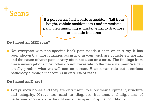

If a person has had a serious accident (fall from height, vehicle accident etc.) and immediate pain, then imagining is fundamental to diagnose or exclude fractures

#### **Do I need an MRI scan?**

**Not everyone with non-specific back pain needs a scan or an x-ray. It has** been shown that most changes occurring in your back are completely normal and the cause of your pain is very often not seen on a scan. The findings from these investigations most often **do not correlate** to the person's pain! We can usually predict what we will see on a scan. A scan can rule out a serious pathology although that occurs in only  $1\%$  of cases.

#### **Do I need an X-ray?**

**EX-rays show bones and they are only useful to show their alignment, structure** and integrity. X-rays are used to diagnose fractures, mal-alignment of vertebrae, scoliosis, disc height and other specific spinal conditions.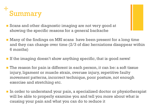

- **n** Scans and other diagnostic imaging are not very good at showing the specific reasons for a general backache
- n Many of the findings on MRI scans have been present for a long time and they can change over time (2/3 of disc herniations disappear within 6 months)
- If the imaging doesn't show anything specific, that is good news!
- The reason for pain is different in each person, it can be: a soft tissue injury, ligament or muscle strain, overuse injury, repetitive faulty movement patterns, incorrect technique, poor posture, not enough exercise and stretching etc.
- n In order to understand your pain, a specialized doctor or physiotherapist will be able to properly examine you and tell you more about what is causing your pain and what you can do to reduce it